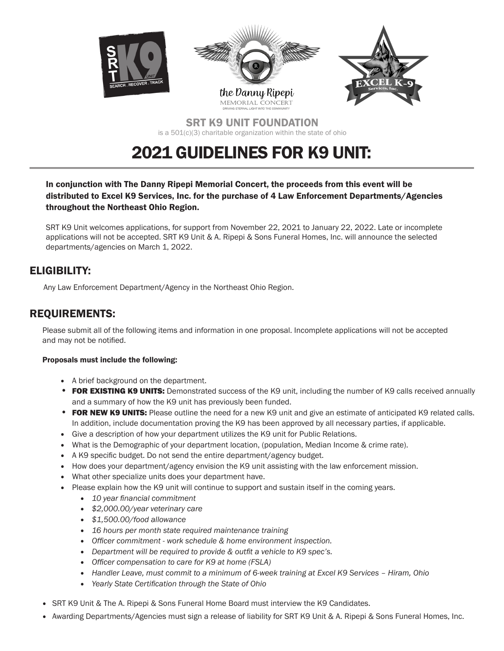

SRT K9 UNIT FOUNDATION is a 501(c)(3) charitable organization within the state of ohio

## 2021 GUIDELINES FOR K9 UNIT:

In conjunction with The Danny Ripepi Memorial Concert, the proceeds from this event will be distributed to Excel K9 Services, Inc. for the purchase of 4 Law Enforcement Departments/Agencies throughout the Northeast Ohio Region.

SRT K9 Unit welcomes applications, for support from November 22, 2021 to January 22, 2022. Late or incomplete applications will not be accepted. SRT K9 Unit & A. Ripepi & Sons Funeral Homes, Inc. will announce the selected departments/agencies on March 1, 2022.

## ELIGIBILITY:

Any Law Enforcement Department/Agency in the Northeast Ohio Region.

## REQUIREMENTS:

Please submit all of the following items and information in one proposal. Incomplete applications will not be accepted and may not be notified.

#### Proposals must include the following:

- A brief background on the department.
- FOR EXISTING K9 UNITS: Demonstrated success of the K9 unit, including the number of K9 calls received annually and a summary of how the K9 unit has previously been funded.
- FOR NEW K9 UNITS: Please outline the need for a new K9 unit and give an estimate of anticipated K9 related calls. In addition, include documentation proving the K9 has been approved by all necessary parties, if applicable.
- Give a description of how your department utilizes the K9 unit for Public Relations.
- What is the Demographic of your department location, (population, Median Income & crime rate).
- A K9 specific budget. Do not send the entire department/agency budget.
- How does your department/agency envision the K9 unit assisting with the law enforcement mission.
- What other specialize units does your department have.
- Please explain how the K9 unit will continue to support and sustain itself in the coming years.
	- *10 year financial commitment*
	- *\$2,000.00/year veterinary care*
	- *\$1,500.00/food allowance*
	- *16 hours per month state required maintenance training*
	- *Officer commitment work schedule & home environment inspection.*
	- *Department will be required to provide & outfit a vehicle to K9 spec's.*
	- *Officer compensation to care for K9 at home (FSLA)*
	- *Handler Leave, must commit to a minimum of 6-week training at Excel K9 Services Hiram, Ohio*
	- *Yearly State Certification through the State of Ohio*
- SRT K9 Unit & The A. Ripepi & Sons Funeral Home Board must interview the K9 Candidates.
- Awarding Departments/Agencies must sign a release of liability for SRT K9 Unit & A. Ripepi & Sons Funeral Homes, Inc.